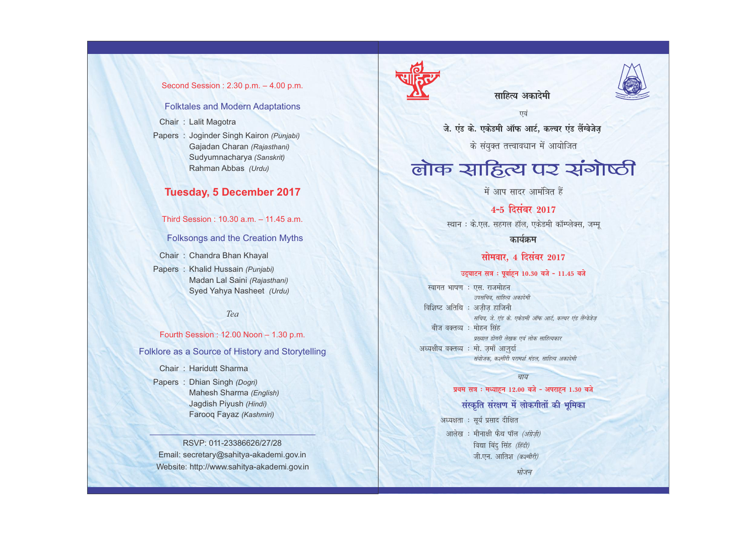#### Second Session : 2.30 p.m. – 4.00 p.m.

#### Folktales and Modern Adaptations

Chair : Lalit Magotra

Papers : Joginder Singh Kairon *(Punjabi)* Gajadan Charan *(Rajasthani)* Sudyumnacharya *(Sanskrit)* Rahman Abbas *(Urdu)*

### **Tuesday, 5 December 2017**

Third Session : 10.30 a.m. – 11.45 a.m.

Folksongs and the Creation Myths

Chair : Chandra Bhan Khayal

Papers : Khalid Hussain *(Punjabi)* Madan Lal Saini *(Rajasthani)* Syed Yahya Nasheet *(Urdu)*

*Tea* 

Fourth Session : 12.00 Noon – 1.30 p.m.

Folklore as a Source of History and Storytelling

Chair : Haridutt Sharma

Papers : Dhian Singh *(Dogri)* Mahesh Sharma *(English)* Jagdish Piyush *(Hindi)* Farooq Fayaz *(Kashmiri)*

RSVP: 011-23386626/27/28 Email: secretary@sahitya-akademi.gov.in Website: http://www.sahitya-akademi.gov.in



साहित्य अकाटेमी

एवं जे. एंड के. एकेडमी ऑफ आर्ट, कल्चर एंड लैंग्वेजेज

के संयुक्त तत्त्वावधान में आयोजित

# लोक साहित्य पर संगोष्ठी

में आप सादर आमंत्रित हैं

# 4-5 दिसंबर 2017

स्थान : के.एल. सहगल हॉल, एकेडमी कॉम्प्लेक्स, जम्मू

कार्यक्रम

#### सोमवार. 4 दिसंबर 2017

#### उद्घाटन सत्र : पूर्वाहून 10.30 बजे - 11.45 बजे

स्वागत भाषण : एस. राजमोहन उपसचिव, साहित्य अकादेमी विशिष्ट अतिथि : अजीज हाजिनी सचिव, जे. एंड के. एकेडमी ऑफ आर्ट, कल्चर एंड लैंग्वेजेज बीज वक्तव्य : मोहन सिंह प्रख्यात डोगरी लेखक एवं लोक साहित्यकार अध्यक्षीय वक्तव्य : मो. जमाँ आजर्दा संयोजक, कश्मीरी परामर्श मंडल, साहित्य अकादेमी

#### चाय

#### प्रथम सत्र : मध्याहन 12.00 बजे - अपराहन 1.30 बजे

# संस्कृति संरक्षण में लोकगीतों की भूमिका

भोजन

अध्यक्षता : सूर्य प्रसाद दीक्षित आलेख: मीनाक्षी फैथ पॉल (अंग्रेज़ी) विद्या बिंदु सिंह (हिंदी) जी.एन. आतिश (कश्मीरी)